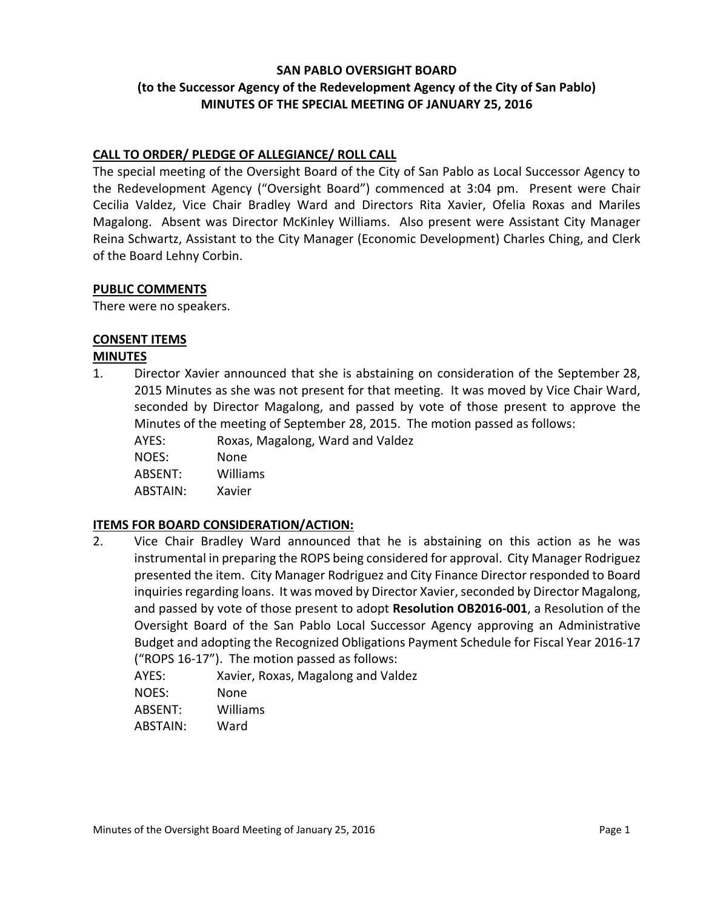## **SAN PABLO OVERSIGHT BOARD (to the Successor Agency of the Redevelopment Agency of the City of San Pablo) MINUTES OF THE SPECIAL MEETING OF JANUARY 25, 2016**

# **CALL TO ORDER/ PLEDGE OF ALLEGIANCE/ ROLL CALL**

The special meeting of the Oversight Board of the City of San Pablo as Local Successor Agency to the Redevelopment Agency ("Oversight Board") commenced at 3:04 pm. Present were Chair Cecilia Valdez, Vice Chair Bradley Ward and Directors Rita Xavier, Ofelia Roxas and Mariles Magalong. Absent was Director McKinley Williams. Also present were Assistant City Manager Reina Schwartz, Assistant to the City Manager (Economic Development) Charles Ching, and Clerk of the Board Lehny Corbin.

#### **PUBLIC COMMENTS**

There were no speakers.

## **CONSENT ITEMS**

#### **MINUTES**

- 1. Director Xavier announced that she is abstaining on consideration of the September 28, 2015 Minutes as she was not present for that meeting. It was moved by Vice Chair Ward, seconded by Director Magalong, and passed by vote of those present to approve the Minutes of the meeting of September 28, 2015. The motion passed as follows:
	- AYES: Roxas, Magalong, Ward and Valdez

NOES: None

ABSENT: Williams

ABSTAIN: Xavier

## **ITEMS FOR BOARD CONSIDERATION/ACTION:**

2. Vice Chair Bradley Ward announced that he is abstaining on this action as he was instrumental in preparing the ROPS being considered for approval. City Manager Rodriguez presented the item. City Manager Rodriguez and City Finance Director responded to Board inquiries regarding loans. It was moved by Director Xavier, seconded by Director Magalong, and passed by vote of those present to adopt **Resolution OB2016-001**, a Resolution of the Oversight Board of the San Pablo Local Successor Agency approving an Administrative Budget and adopting the Recognized Obligations Payment Schedule for Fiscal Year 2016-17 ("ROPS 16-17"). The motion passed as follows:

AYES: Xavier, Roxas, Magalong and Valdez

NOES: None

ABSENT: Williams

ABSTAIN: Ward